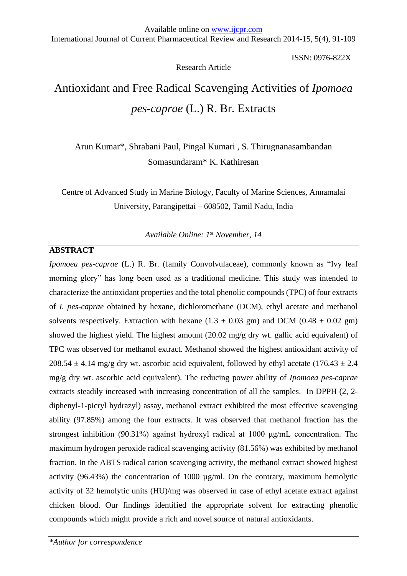Research Article

ISSN: 0976-822X

# Antioxidant and Free Radical Scavenging Activities of *Ipomoea pes-caprae* (L.) R. Br. Extracts

Arun Kumar\*, Shrabani Paul, Pingal Kumari , S. Thirugnanasambandan Somasundaram\* K. Kathiresan

Centre of Advanced Study in Marine Biology, Faculty of Marine Sciences, Annamalai University, Parangipettai – 608502, Tamil Nadu, India

*Available Online: 1st November, 14*

## **ABSTRACT**

*Ipomoea pes-caprae* (L.) R. Br. (family Convolvulaceae), commonly known as "Ivy leaf morning glory" has long been used as a traditional medicine. This study was intended to characterize the antioxidant properties and the total phenolic compounds (TPC) of four extracts of *I. pes-caprae* obtained by hexane, dichloromethane (DCM), ethyl acetate and methanol solvents respectively. Extraction with hexane  $(1.3 \pm 0.03 \text{ gm})$  and DCM  $(0.48 \pm 0.02 \text{ gm})$ showed the highest yield. The highest amount (20.02 mg/g dry wt. gallic acid equivalent) of TPC was observed for methanol extract. Methanol showed the highest antioxidant activity of 208.54  $\pm$  4.14 mg/g dry wt. ascorbic acid equivalent, followed by ethyl acetate (176.43  $\pm$  2.4 mg/g dry wt. ascorbic acid equivalent). The reducing power ability of *Ipomoea pes-caprae* extracts steadily increased with increasing concentration of all the samples*.* In DPPH (2, 2 diphenyl-1-picryl hydrazyl) assay, methanol extract exhibited the most effective scavenging ability (97.85%) among the four extracts. It was observed that methanol fraction has the strongest inhibition (90.31%) against hydroxyl radical at 1000 μg/mL concentration. The maximum hydrogen peroxide radical scavenging activity (81.56%) was exhibited by methanol fraction. In the ABTS radical cation scavenging activity, the methanol extract showed highest activity (96.43%) the concentration of 1000 µg/ml. On the contrary, maximum hemolytic activity of 32 hemolytic units (HU)/mg was observed in case of ethyl acetate extract against chicken blood. Our findings identified the appropriate solvent for extracting phenolic compounds which might provide a rich and novel source of natural antioxidants.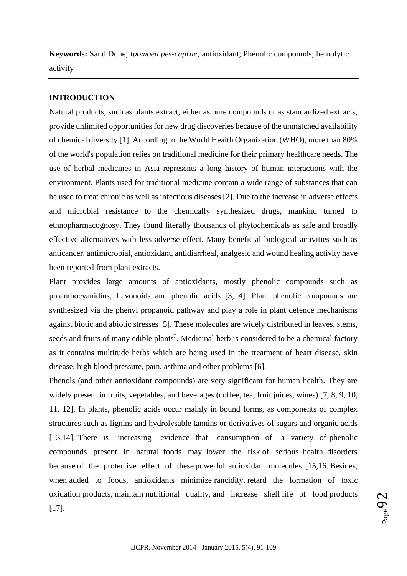**Keywords:** Sand Dune; *Ipomoea pes-caprae;* antioxidant; Phenolic compounds; hemolytic activity

# **INTRODUCTION**

Natural products, such as plants extract, either as pure compounds or as standardized extracts, provide unlimited opportunities for new drug discoveries because of the unmatched availability of chemical diversity [1]. According to the World Health Organization (WHO), more than 80% of the world's population relies on traditional medicine for their primary healthcare needs. The use of herbal medicines in Asia represents a long history of human interactions with the environment. Plants used for traditional medicine contain a wide range of substances that can be used to treat chronic as well as infectious diseases [2]. Due to the increase in adverse effects and microbial resistance to the chemically synthesized drugs, mankind turned to ethnopharmacognosy. They found literally thousands of phytochemicals as safe and broadly effective alternatives with less adverse effect. Many beneficial biological activities such as anticancer, antimicrobial, antioxidant, antidiarrheal, analgesic and wound healing activity have been reported from plant extracts.

Plant provides large amounts of antioxidants, mostly phenolic compounds such as proanthocyanidins, flavonoids and phenolic acids [3, 4]. Plant phenolic compounds are synthesized via the phenyl propanoid pathway and play a role in plant defence mechanisms against biotic and abiotic stresses [5]. These molecules are widely distributed in leaves, stems, seeds and fruits of many edible plants<sup>3</sup>. Medicinal herb is considered to be a chemical factory as it contains multitude herbs which are being used in the treatment of heart disease, skin disease, high blood pressure, pain, asthma and other problems [6].

Phenols (and other antioxidant compounds) are very significant for human health. They are widely present in fruits, vegetables, and beverages (coffee, tea, fruit juices, wines) [7, 8, 9, 10, 11, 12]. In plants, phenolic acids occur mainly in bound forms, as components of complex structures such as lignins and hydrolysable tannins or derivatives of sugars and organic acids [13,14]. There is increasing evidence that consumption of a variety of phenolic compounds present in natural foods may lower the risk of serious health disorders because of the protective effect of these powerful antioxidant molecules [15,16. Besides, when added to foods, antioxidants minimize rancidity, retard the formation of toxic oxidation products, maintain nutritional quality, and increase shelf life of food products [17].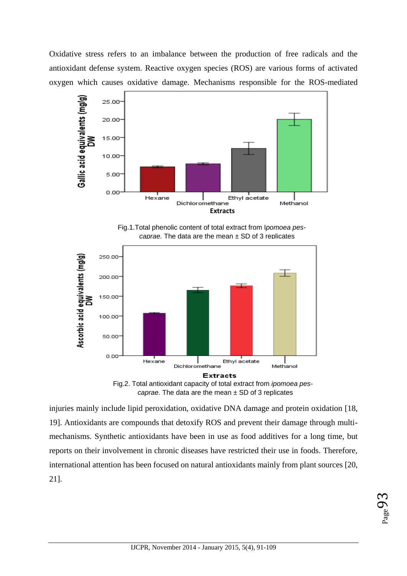Oxidative stress refers to an imbalance between the production of free radicals and the antioxidant defense system. Reactive oxygen species (ROS) are various forms of activated oxygen which causes oxidative damage. Mechanisms responsible for the ROS-mediated



Fig.1.Total phenolic content of total extract from I*pomoea pescaprae.* The data are the mean ± SD of 3 replicates





injuries mainly include lipid peroxidation, oxidative DNA damage and protein oxidation [18, 19]. Antioxidants are compounds that detoxify ROS and prevent their damage through multimechanisms. Synthetic antioxidants have been in use as food additives for a long time, but reports on their involvement in chronic diseases have restricted their use in foods. Therefore, international attention has been focused on natural antioxidants mainly from plant sources [20, 21].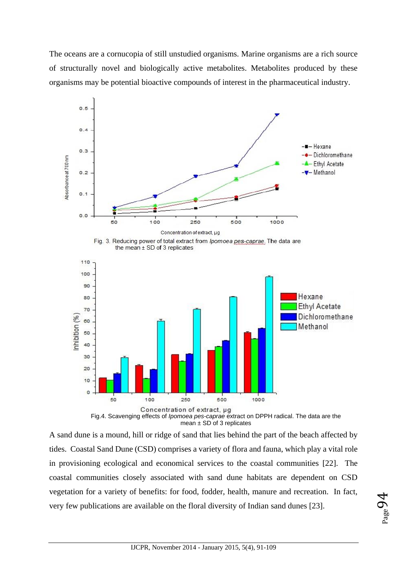The oceans are a cornucopia of still unstudied organisms. Marine organisms are a rich source of structurally novel and biologically active metabolites. Metabolites produced by these organisms may be potential bioactive compounds of interest in the pharmaceutical industry.



mean  $\pm$  SD of 3 replicates

A sand dune is a mound, hill or ridge of sand that lies behind the part of the beach affected by tides. Coastal Sand Dune (CSD) comprises a variety of flora and fauna, which play a vital role in provisioning ecological and economical services to the coastal communities [22]. The coastal communities closely associated with sand dune habitats are dependent on CSD vegetation for a variety of benefits: for food, fodder, health, manure and recreation. In fact, very few publications are available on the floral diversity of Indian sand dunes [23].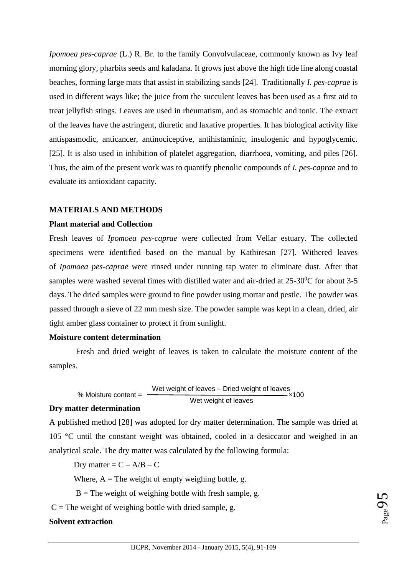*Ipomoea pes-caprae* (L.) R. Br. to the family Convolvulaceae, commonly known as Ivy leaf morning glory, pharbits seeds and kaladana. It grows just above the high tide line along coastal beaches, forming large mats that assist in stabilizing sands [24]. Traditionally *I. pes-caprae* is used in different ways like; the juice from the succulent leaves has been used as a first aid to treat jellyfish stings. Leaves are used in rheumatism, and as stomachic and tonic. The extract of the leaves have the astringent, diuretic and laxative properties. It has biological activity like antispasmodic, anticancer, antinociceptive, antihistaminic, insulogenic and hypoglycemic. [25]. It is also used in inhibition of platelet aggregation, diarrhoea, vomiting, and piles [26]. Thus, the aim of the present work was to quantify phenolic compounds of *I. pes-caprae* and to evaluate its antioxidant capacity.

#### **MATERIALS AND METHODS**

#### **Plant material and Collection**

Fresh leaves of *Ipomoea pes-caprae* were collected from Vellar estuary. The collected specimens were identified based on the manual by Kathiresan [27]. Withered leaves of *Ipomoea pes-caprae* were rinsed under running tap water to eliminate dust. After that samples were washed several times with distilled water and air-dried at  $25{\text -}30^{\circ}$ C for about 3-5 days. The dried samples were ground to fine powder using mortar and pestle. The powder was passed through a sieve of 22 mm mesh size. The powder sample was kept in a clean, dried, air tight amber glass container to protect it from sunlight.

#### **Moisture content determination**

Fresh and dried weight of leaves is taken to calculate the moisture content of the samples.

% Moisture content =  $\frac{100 \text{ m} \cdot \text{m}}{200 \text{ m} \cdot \text{m} \cdot \text{m}}$  ×100 Wet weight of leaves – Dried weight of leaves Wet weight of leaves

## **Dry matter determination**

A published method [28] was adopted for dry matter determination. The sample was dried at 105 °C until the constant weight was obtained, cooled in a desiccator and weighed in an analytical scale. The dry matter was calculated by the following formula:

Dry matter =  $C - A/B - C$ 

Where,  $A =$ The weight of empty weighing bottle, g.

 $B$  = The weight of weighing bottle with fresh sample, g.

 $C =$ The weight of weighing bottle with dried sample, g.

## **Solvent extraction**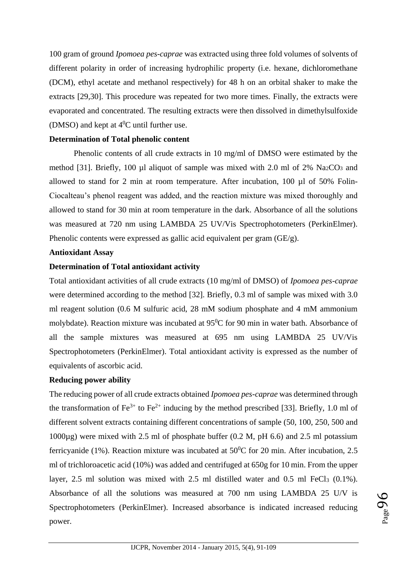100 gram of ground *Ipomoea pes-caprae* was extracted using three fold volumes of solvents of different polarity in order of increasing hydrophilic property (i.e. hexane, dichloromethane (DCM), ethyl acetate and methanol respectively) for 48 h on an orbital shaker to make the extracts [29,30]. This procedure was repeated for two more times. Finally, the extracts were evaporated and concentrated. The resulting extracts were then dissolved in dimethylsulfoxide (DMSO) and kept at  $4^0C$  until further use.

#### **Determination of Total phenolic content**

Phenolic contents of all crude extracts in 10 mg/ml of DMSO were estimated by the method [31]. Briefly, 100  $\mu$ l aliquot of sample was mixed with 2.0 ml of 2% Na<sub>2</sub>CO<sub>3</sub> and allowed to stand for 2 min at room temperature. After incubation, 100 µl of 50% Folin-Ciocalteau's phenol reagent was added, and the reaction mixture was mixed thoroughly and allowed to stand for 30 min at room temperature in the dark. Absorbance of all the solutions was measured at 720 nm using LAMBDA 25 UV/Vis Spectrophotometers (PerkinElmer). Phenolic contents were expressed as gallic acid equivalent per gram (GE/g).

## **Antioxidant Assay**

## **Determination of Total antioxidant activity**

Total antioxidant activities of all crude extracts (10 mg/ml of DMSO) of *Ipomoea pes-caprae* were determined according to the method [32]. Briefly, 0.3 ml of sample was mixed with 3.0 ml reagent solution (0.6 M sulfuric acid, 28 mM sodium phosphate and 4 mM ammonium molybdate). Reaction mixture was incubated at  $95^{\circ}$ C for 90 min in water bath. Absorbance of all the sample mixtures was measured at 695 nm using LAMBDA 25 UV/Vis Spectrophotometers (PerkinElmer). Total antioxidant activity is expressed as the number of equivalents of ascorbic acid.

## **Reducing power ability**

The reducing power of all crude extracts obtained *Ipomoea pes-caprae* was determined through the transformation of  $Fe^{3+}$  to  $Fe^{2+}$  inducing by the method prescribed [33]. Briefly, 1.0 ml of different solvent extracts containing different concentrations of sample (50, 100, 250, 500 and 1000µg) were mixed with 2.5 ml of phosphate buffer (0.2 M, pH 6.6) and 2.5 ml potassium ferricyanide (1%). Reaction mixture was incubated at  $50^{\circ}$ C for 20 min. After incubation, 2.5 ml of trichloroacetic acid (10%) was added and centrifuged at 650g for 10 min. From the upper layer, 2.5 ml solution was mixed with 2.5 ml distilled water and 0.5 ml FeCl<sub>3</sub> (0.1%). Absorbance of all the solutions was measured at 700 nm using LAMBDA 25 U/V is Spectrophotometers (PerkinElmer). Increased absorbance is indicated increased reducing power.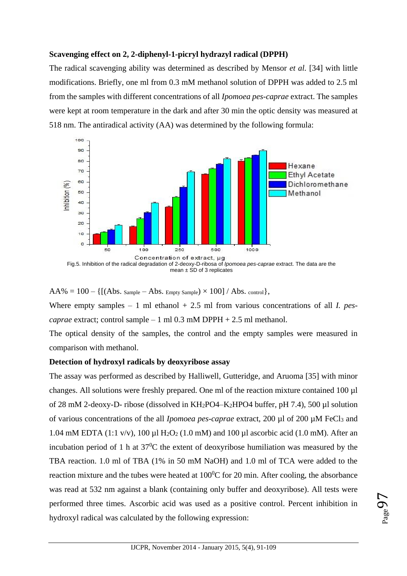## **Scavenging effect on 2, 2-diphenyl-1-picryl hydrazyl radical (DPPH)**

The radical scavenging ability was determined as described by Mensor *et al.* [34] with little modifications. Briefly, one ml from 0.3 mM methanol solution of DPPH was added to 2.5 ml from the samples with different concentrations of all *Ipomoea pes-caprae* extract. The samples were kept at room temperature in the dark and after 30 min the optic density was measured at 518 nm. The antiradical activity (AA) was determined by the following formula:



mean  $\pm$  SD of 3 replicates

 $AA\% = 100 - \{[(Abs. Sample - Abs. Empty Sample) \times 100] / Abs. control\},\$ 

Where empty samples – 1 ml ethanol + 2.5 ml from various concentrations of all *I. pescaprae* extract; control sample – 1 ml 0.3 mM DPPH + 2.5 ml methanol.

The optical density of the samples, the control and the empty samples were measured in comparison with methanol.

#### **Detection of hydroxyl radicals by deoxyribose assay**

The assay was performed as described by Halliwell, Gutteridge, and Aruoma [35] with minor changes. All solutions were freshly prepared. One ml of the reaction mixture contained 100 µl of 28 mM 2-deoxy-D- ribose (dissolved in KH2PO4–K2HPO4 buffer, pH 7.4), 500 µl solution of various concentrations of the all *Ipomoea pes-caprae* extract, 200 µl of 200 µM FeCl<sup>3</sup> and 1.04 mM EDTA (1:1 v/v), 100 µl H<sub>2</sub>O<sub>2</sub> (1.0 mM) and 100 µl ascorbic acid (1.0 mM). After an incubation period of 1 h at  $37^0C$  the extent of deoxyribose humiliation was measured by the TBA reaction. 1.0 ml of TBA (1% in 50 mM NaOH) and 1.0 ml of TCA were added to the reaction mixture and the tubes were heated at  $100^{\circ}$ C for 20 min. After cooling, the absorbance was read at 532 nm against a blank (containing only buffer and deoxyribose). All tests were performed three times. Ascorbic acid was used as a positive control. Percent inhibition in hydroxyl radical was calculated by the following expression: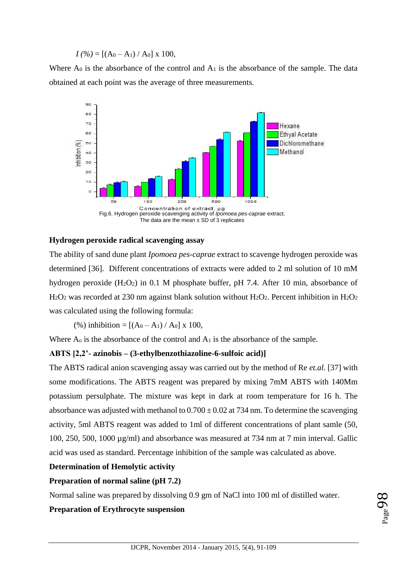$I(\%)=[(A_0-A_1)/A_0] \times 100,$ 

Where  $A_0$  is the absorbance of the control and  $A_1$  is the absorbance of the sample. The data obtained at each point was the average of three measurements.



#### **Hydrogen peroxide radical scavenging assay**

The ability of sand dune plant *Ipomoea pes-caprae* extract to scavenge hydrogen peroxide was determined [36]. Different concentrations of extracts were added to 2 ml solution of 10 mM hydrogen peroxide (H<sub>2</sub>O<sub>2</sub>) in 0.1 M phosphate buffer, pH 7.4. After 10 min, absorbance of  $H<sub>2</sub>O<sub>2</sub>$  was recorded at 230 nm against blank solution without  $H<sub>2</sub>O<sub>2</sub>$ . Percent inhibition in  $H<sub>2</sub>O<sub>2</sub>$ was calculated using the following formula:

(%) inhibition =  $[(A_0 - A_1)/A_0]$  x 100,

Where  $A_0$  is the absorbance of the control and  $A_1$  is the absorbance of the sample.

#### **ABTS [2,2'- azinobis – (3-ethylbenzothiazoline-6-sulfoic acid)]**

The ABTS radical anion scavenging assay was carried out by the method of Re *et.al.* [37] with some modifications. The ABTS reagent was prepared by mixing 7mM ABTS with 140Mm potassium persulphate. The mixture was kept in dark at room temperature for 16 h. The absorbance was adjusted with methanol to  $0.700 \pm 0.02$  at 734 nm. To determine the scavenging activity, 5ml ABTS reagent was added to 1ml of different concentrations of plant samle (50, 100, 250, 500, 1000 µg/ml) and absorbance was measured at 734 nm at 7 min interval. Gallic acid was used as standard. Percentage inhibition of the sample was calculated as above.

#### **Determination of Hemolytic activity**

#### **Preparation of normal saline (pH 7.2)**

Normal saline was prepared by dissolving 0.9 gm of NaCl into 100 ml of distilled water.

#### **Preparation of Erythrocyte suspension**

 $_{\rm Page}$ 98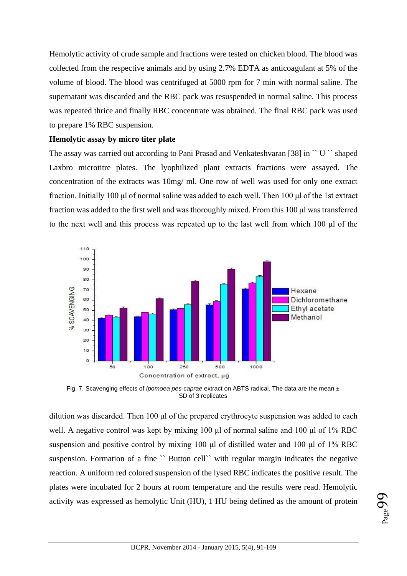Hemolytic activity of crude sample and fractions were tested on chicken blood. The blood was collected from the respective animals and by using 2.7% EDTA as anticoagulant at 5% of the volume of blood. The blood was centrifuged at 5000 rpm for 7 min with normal saline. The supernatant was discarded and the RBC pack was resuspended in normal saline. This process was repeated thrice and finally RBC concentrate was obtained. The final RBC pack was used to prepare 1% RBC suspension.

#### **Hemolytic assay by micro titer plate**

The assay was carried out according to Pani Prasad and Venkateshvaran [38] in `` U `` shaped Laxbro microtitre plates. The lyophilized plant extracts fractions were assayed. The concentration of the extracts was 10mg/ ml. One row of well was used for only one extract fraction. Initially 100 μl of normal saline was added to each well. Then 100 μl of the 1st extract fraction was added to the first well and was thoroughly mixed. From this 100 μl was transferred to the next well and this process was repeated up to the last well from which 100 μl of the



Fig. 7. Scavenging effects of *Ipomoea pes-caprae* extract on ABTS radical. The data are the mean ± SD of 3 replicates

dilution was discarded. Then 100 μl of the prepared erythrocyte suspension was added to each well. A negative control was kept by mixing 100 μl of normal saline and 100 μl of 1% RBC suspension and positive control by mixing 100 μl of distilled water and 100 μl of 1% RBC suspension. Formation of a fine "Button cell" with regular margin indicates the negative reaction. A uniform red colored suspension of the lysed RBC indicates the positive result. The plates were incubated for 2 hours at room temperature and the results were read. Hemolytic activity was expressed as hemolytic Unit (HU), 1 HU being defined as the amount of protein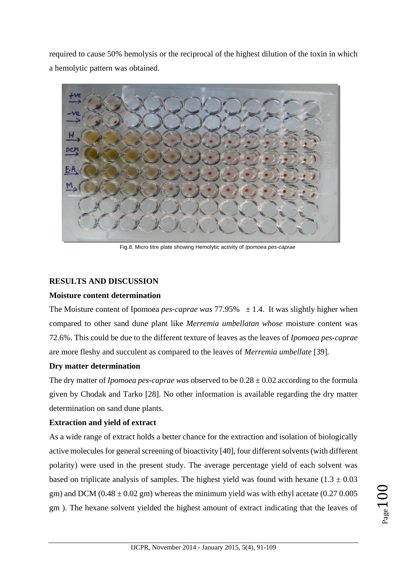required to cause 50% hemolysis or the reciprocal of the highest dilution of the toxin in which a hemolytic pattern was obtained.



Fig.8. Micro titre plate showing Hemolytic activity of *Ipomoea pes-caprae*

## **RESULTS AND DISCUSSION**

## **Moisture content determination**

The Moisture content of Ipomoea *pes-caprae was*  $77.95\% \pm 1.4$ . It was slightly higher when compared to other sand dune plant like *Merremia umbellatan whose* moisture content was 72.6%. This could be due to the different texture of leaves as the leaves of *Ipomoea pes-caprae*  are more fleshy and succulent as compared to the leaves of *Merremia umbellate* [39]*.*

## **Dry matter determination**

The dry matter of *Ipomoea pes-caprae was* observed to be 0.28 ± 0.02 according to the formula given by Chodak and Tarko [28]. No other information is available regarding the dry matter determination on sand dune plants.

## **Extraction and yield of extract**

As a wide range of extract holds a better chance for the extraction and isolation of biologically active molecules for general screening of bioactivity [40], four different solvents (with different polarity) were used in the present study. The average percentage yield of each solvent was based on triplicate analysis of samples. The highest yield was found with hexane  $(1.3 \pm 0.03$ gm) and DCM  $(0.48 \pm 0.02 \text{ gm})$  whereas the minimum yield was with ethyl acetate  $(0.27 \, 0.005$ gm ). The hexane solvent yielded the highest amount of extract indicating that the leaves of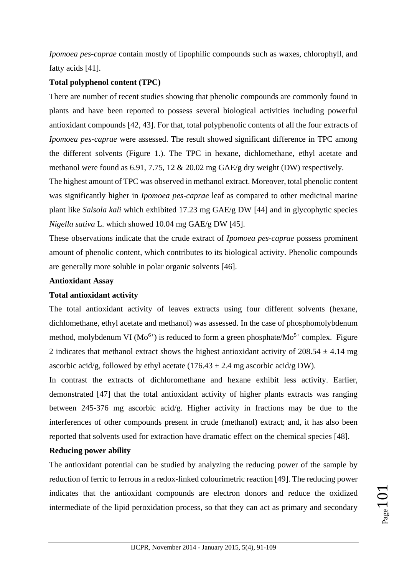*Ipomoea pes-caprae* contain mostly of lipophilic compounds such as waxes, chlorophyll, and fatty acids [41].

# **Total polyphenol content (TPC)**

There are number of recent studies showing that phenolic compounds are commonly found in plants and have been reported to possess several biological activities including powerful antioxidant compounds [42, 43]. For that, total polyphenolic contents of all the four extracts of *Ipomoea pes-caprae* were assessed. The result showed significant difference in TPC among the different solvents (Figure 1.). The TPC in hexane, dichlomethane, ethyl acetate and methanol were found as 6.91, 7.75, 12 & 20.02 mg GAE/g dry weight (DW) respectively.

The highest amount of TPC was observed in methanol extract. Moreover, total phenolic content was significantly higher in *Ipomoea pes-caprae* leaf as compared to other medicinal marine plant like *Salsola kali* which exhibited 17.23 mg GAE/g DW [44] and in glycophytic species *Nigella sativa* L. which showed 10.04 mg GAE/g DW [45].

These observations indicate that the crude extract of *Ipomoea pes-caprae* possess prominent amount of phenolic content, which contributes to its biological activity. Phenolic compounds are generally more soluble in polar organic solvents [46].

## **Antioxidant Assay**

## **Total antioxidant activity**

The total antioxidant activity of leaves extracts using four different solvents (hexane, dichlomethane, ethyl acetate and methanol) was assessed. In the case of phosphomolybdenum method, molybdenum VI ( $Mo^{6+}$ ) is reduced to form a green phosphate/ $Mo^{5+}$  complex. Figure 2 indicates that methanol extract shows the highest antioxidant activity of  $208.54 \pm 4.14$  mg ascorbic acid/g, followed by ethyl acetate (176.43  $\pm$  2.4 mg ascorbic acid/g DW).

In contrast the extracts of dichloromethane and hexane exhibit less activity. Earlier, demonstrated [47] that the total antioxidant activity of higher plants extracts was ranging between 245-376 mg ascorbic acid/g. Higher activity in fractions may be due to the interferences of other compounds present in crude (methanol) extract; and, it has also been reported that solvents used for extraction have dramatic effect on the chemical species [48].

## **Reducing power ability**

The antioxidant potential can be studied by analyzing the reducing power of the sample by reduction of ferric to ferrous in a redox-linked colourimetric reaction [49]. The reducing power indicates that the antioxidant compounds are electron donors and reduce the oxidized intermediate of the lipid peroxidation process, so that they can act as primary and secondary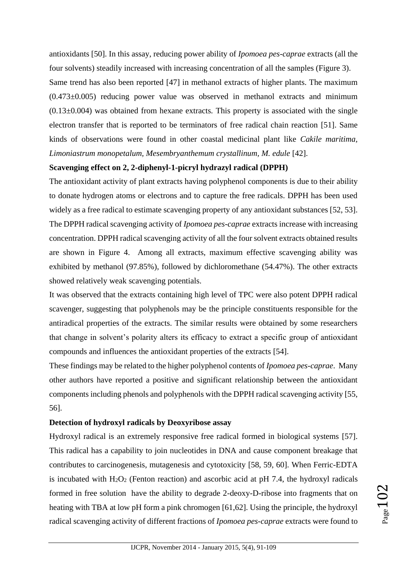antioxidants [50]. In this assay, reducing power ability of *Ipomoea pes-caprae* extracts (all the four solvents) steadily increased with increasing concentration of all the samples (Figure 3).

Same trend has also been reported [47] in methanol extracts of higher plants. The maximum  $(0.473\pm0.005)$  reducing power value was observed in methanol extracts and minimum (0.13±0.004) was obtained from hexane extracts*.* This property is associated with the single electron transfer that is reported to be terminators of free radical chain reaction [51]. Same kinds of observations were found in other coastal medicinal plant like *Cakile maritima, Limoniastrum monopetalum, Mesembryanthemum crystallinum, M. edule* [42].

## **Scavenging effect on 2, 2-diphenyl-1-picryl hydrazyl radical (DPPH)**

The antioxidant activity of plant extracts having polyphenol components is due to their ability to donate hydrogen atoms or electrons and to capture the free radicals. DPPH has been used widely as a free radical to estimate scavenging property of any antioxidant substances [52, 53]. The DPPH radical scavenging activity of *Ipomoea pes-caprae* extracts increase with increasing concentration. DPPH radical scavenging activity of all the four solvent extracts obtained results are shown in Figure 4. Among all extracts, maximum effective scavenging ability was exhibited by methanol (97.85%), followed by dichloromethane (54.47%). The other extracts showed relatively weak scavenging potentials.

It was observed that the extracts containing high level of TPC were also potent DPPH radical scavenger, suggesting that polyphenols may be the principle constituents responsible for the antiradical properties of the extracts. The similar results were obtained by some researchers that change in solvent's polarity alters its efficacy to extract a specific group of antioxidant compounds and influences the antioxidant properties of the extracts [54].

These findings may be related to the higher polyphenol contents of *Ipomoea pes-caprae*. Many other authors have reported a positive and significant relationship between the antioxidant components including phenols and polyphenols with the DPPH radical scavenging activity [55, 56].

## **Detection of hydroxyl radicals by Deoxyribose assay**

Hydroxyl radical is an extremely responsive free radical formed in biological systems [57]. This radical has a capability to join nucleotides in DNA and cause component breakage that contributes to carcinogenesis, mutagenesis and cytotoxicity [58, 59, 60]. When Ferric-EDTA is incubated with  $H_2O_2$  (Fenton reaction) and ascorbic acid at pH 7.4, the hydroxyl radicals formed in free solution have the ability to degrade 2-deoxy-D-ribose into fragments that on heating with TBA at low pH form a pink chromogen [61,62]. Using the principle, the hydroxyl radical scavenging activity of different fractions of *Ipomoea pes-caprae* extracts were found to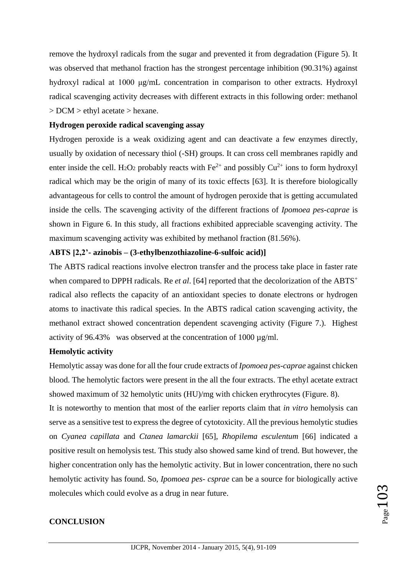remove the hydroxyl radicals from the sugar and prevented it from degradation (Figure 5). It was observed that methanol fraction has the strongest percentage inhibition (90.31%) against hydroxyl radical at 1000 μg/mL concentration in comparison to other extracts. Hydroxyl radical scavenging activity decreases with different extracts in this following order: methanol > DCM > ethyl acetate > hexane.

#### **Hydrogen peroxide radical scavenging assay**

Hydrogen peroxide is a weak oxidizing agent and can deactivate a few enzymes directly, usually by oxidation of necessary thiol (-SH) groups. It can cross cell membranes rapidly and enter inside the cell. H<sub>2</sub>O<sub>2</sub> probably reacts with Fe<sup>2+</sup> and possibly Cu<sup>2+</sup> ions to form hydroxyl radical which may be the origin of many of its toxic effects [63]. It is therefore biologically advantageous for cells to control the amount of hydrogen peroxide that is getting accumulated inside the cells. The scavenging activity of the different fractions of *Ipomoea pes-caprae* is shown in Figure 6. In this study, all fractions exhibited appreciable scavenging activity. The maximum scavenging activity was exhibited by methanol fraction (81.56%).

## **ABTS [2,2'- azinobis – (3-ethylbenzothiazoline-6-sulfoic acid)]**

The ABTS radical reactions involve electron transfer and the process take place in faster rate when compared to DPPH radicals. Re *et al.* [64] reported that the decolorization of the ABTS<sup>+</sup> radical also reflects the capacity of an antioxidant species to donate electrons or hydrogen atoms to inactivate this radical species. In the ABTS radical cation scavenging activity, the methanol extract showed concentration dependent scavenging activity (Figure 7.). Highest activity of 96.43% was observed at the concentration of 1000 µg/ml.

## **Hemolytic activity**

Hemolytic assay was done for all the four crude extracts of *Ipomoea pes-caprae* against chicken blood. The hemolytic factors were present in the all the four extracts. The ethyl acetate extract showed maximum of 32 hemolytic units (HU)/mg with chicken erythrocytes (Figure. 8).

It is noteworthy to mention that most of the earlier reports claim that *in vitro* hemolysis can serve as a sensitive test to express the degree of cytotoxicity. All the previous hemolytic studies on *Cyanea capillata* and *Ctanea lamarckii* [65], *Rhopilema esculentum* [66] indicated a positive result on hemolysis test. This study also showed same kind of trend. But however, the higher concentration only has the hemolytic activity. But in lower concentration, there no such hemolytic activity has found. So, *Ipomoea pes- csprae* can be a source for biologically active molecules which could evolve as a drug in near future.

## **CONCLUSION**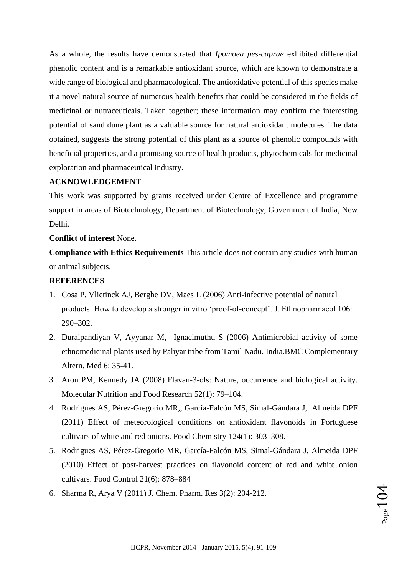As a whole, the results have demonstrated that *Ipomoea pes-caprae* exhibited differential phenolic content and is a remarkable antioxidant source, which are known to demonstrate a wide range of biological and pharmacological. The antioxidative potential of this species make it a novel natural source of numerous health benefits that could be considered in the fields of medicinal or nutraceuticals. Taken together; these information may confirm the interesting potential of sand dune plant as a valuable source for natural antioxidant molecules. The data obtained, suggests the strong potential of this plant as a source of phenolic compounds with beneficial properties, and a promising source of health products, phytochemicals for medicinal exploration and pharmaceutical industry.

## **ACKNOWLEDGEMENT**

This work was supported by grants received under Centre of Excellence and programme support in areas of Biotechnology, Department of Biotechnology, Government of India, New Delhi.

## **Conflict of interest** None.

**Compliance with Ethics Requirements** This article does not contain any studies with human or animal subjects.

## **REFERENCES**

- 1. Cosa P, Vlietinck AJ, Berghe DV, Maes L (2006) Anti-infective potential of natural products: How to develop a stronger in vitro 'proof-of-concept'. J. Ethnopharmacol 106: 290–302.
- 2. Duraipandiyan V, Ayyanar M, Ignacimuthu S (2006) Antimicrobial activity of some ethnomedicinal plants used by Paliyar tribe from Tamil Nadu. India.BMC Complementary Altern. Med 6: 35-41.
- 3. Aron PM, Kennedy JA (2008) Flavan-3-ols: Nature, occurrence and biological activity. Molecular Nutrition and Food Research 52(1): 79–104.
- 4. Rodrigues AS, Pérez-Gregorio MR,, García-Falcón MS, Simal-Gándara J, Almeida DPF (2011) Effect of meteorological conditions on antioxidant flavonoids in Portuguese cultivars of white and red onions. Food Chemistry 124(1): 303–308.
- 5. Rodrigues AS, Pérez-Gregorio MR, García-Falcón MS, Simal-Gándara J, Almeida DPF (2010) Effect of post-harvest practices on flavonoid content of red and white onion cultivars. Food Control 21(6): 878–884
- 6. Sharma R, Arya V (2011) J. Chem. Pharm. Res 3(2): 204-212.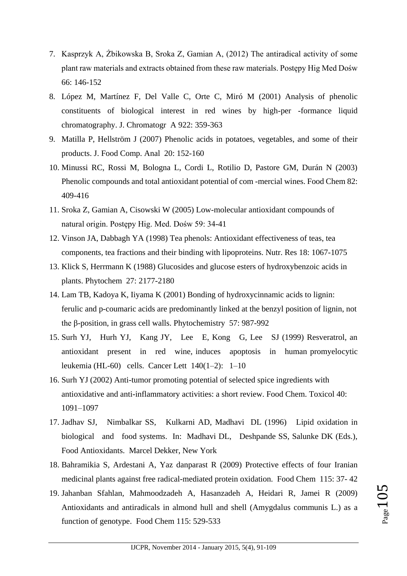- 7. Kasprzyk A, Żbikowska B, Sroka Z, Gamian A, (2012) The antiradical activity of some plant raw materials and extracts obtained from these raw materials. Postępy Hig Med Dośw 66: 146-152
- 8. López M, Martínez F, Del Valle C, Orte C, Miró M (2001) Analysis of phenolic constituents of biological interest in red wines by high-per -formance liquid chromatography. J. Chromatogr A 922: 359-363
- 9. Matilla P, Hellström J (2007) Phenolic acids in potatoes, vegetables, and some of their products. J. Food Comp. Anal 20: 152-160
- 10. Minussi RC, Rossi M, Bologna L, Cordi L, Rotilio D, Pastore GM, Durán N (2003) Phenolic compounds and total antioxidant potential of com -mercial wines. Food Chem 82: 409-416
- 11. Sroka Z, Gamian A, Cisowski W (2005) Low-molecular antioxidant compounds of natural origin. Postępy Hig. Med. Dośw 59: 34-41
- 12. Vinson JA, Dabbagh YA (1998) Tea phenols: Antioxidant effectiveness of teas, tea components, tea fractions and their binding with lipoproteins. Nutr. Res 18: 1067-1075
- 13. Klick S, Herrmann K (1988) Glucosides and glucose esters of hydroxybenzoic acids in plants. Phytochem 27: 2177-2180
- 14. Lam TB, Kadoya K, Iiyama K (2001) Bonding of hydroxycinnamic acids to lignin: ferulic and p-coumaric acids are predominantly linked at the benzyl position of lignin, not the β-position, in grass cell walls. Phytochemistry 57: 987-992
- 15. Surh YJ, Hurh YJ, Kang JY, Lee E, Kong G, Lee SJ (1999) Resveratrol, an antioxidant present in red wine, induces apoptosis in human promyelocytic leukemia (HL-60) cells. Cancer Lett 140(1–2): 1–10
- 16. Surh YJ (2002) Anti-tumor promoting potential of selected spice ingredients with antioxidative and anti-inflammatory activities: a short review. Food Chem. Toxicol 40: 1091–1097
- 17. Jadhav SJ, Nimbalkar SS, Kulkarni AD, Madhavi DL (1996) Lipid oxidation in biological and food systems. In: Madhavi DL, Deshpande SS, Salunke DK (Eds.), Food Antioxidants. Marcel Dekker, New York
- 18. Bahramikia S, Ardestani A, Yaz danparast R (2009) Protective effects of four Iranian medicinal plants against free radical-mediated protein oxidation. Food Chem 115: 37- 42
- 19. Jahanban Sfahlan, Mahmoodzadeh A, Hasanzadeh A, Heidari R, Jamei R (2009) Antioxidants and antiradicals in almond hull and shell (Amygdalus communis L.) as a function of genotype. Food Chem 115: 529-533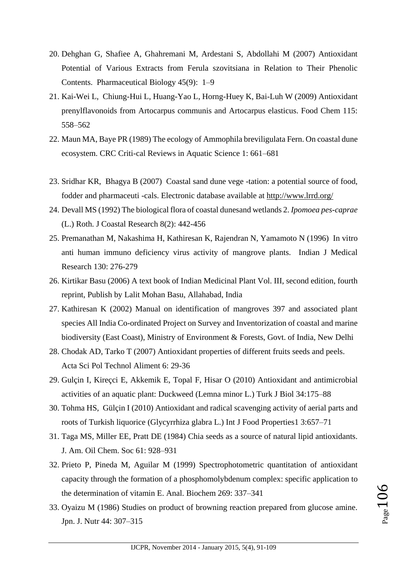- 20. Dehghan G, Shafiee A, Ghahremani M, Ardestani S, Abdollahi M (2007) Antioxidant Potential of Various Extracts from Ferula szovitsiana in Relation to Their Phenolic Contents. Pharmaceutical Biology 45(9): 1–9
- 21. Kai-Wei L, Chiung-Hui L, Huang-Yao L, Horng-Huey K, Bai-Luh W (2009) Antioxidant prenylflavonoids from Artocarpus communis and Artocarpus elasticus. Food Chem 115: 558–562
- 22. Maun MA, Baye PR (1989) The ecology of Ammophila breviligulata Fern. On coastal dune ecosystem. CRC Criti-cal Reviews in Aquatic Science 1: 661–681
- 23. Sridhar KR, Bhagya B (2007) Coastal sand dune vege -tation: a potential source of food, fodder and pharmaceuti -cals. Electronic database available at<http://www.lrrd.org/>
- 24. Devall MS (1992) The biological flora of coastal dunesand wetlands 2. *Ipomoea pes-caprae* (L.) Roth. J Coastal Research 8(2): 442-456
- 25. Premanathan M, Nakashima H, Kathiresan K, Rajendran N, Yamamoto N (1996) In vitro anti human immuno deficiency virus activity of mangrove plants. Indian J Medical Research 130: 276-279
- 26. Kirtikar Basu (2006) A text book of Indian Medicinal Plant Vol. III, second edition, fourth reprint, Publish by Lalit Mohan Basu, Allahabad, India
- 27. Kathiresan K (2002) Manual on identification of mangroves 397 and associated plant species All India Co-ordinated Project on Survey and Inventorization of coastal and marine biodiversity (East Coast), Ministry of Environment & Forests, Govt. of India, New Delhi
- 28. Chodak AD, Tarko T (2007) Antioxidant properties of different fruits seeds and peels. Acta Sci Pol Technol Aliment 6: 29-36
- 29. Gulçin I, Kireçci E, Akkemik E, Topal F, Hisar O (2010) Antioxidant and antimicrobial activities of an aquatic plant: Duckweed (Lemna minor L.) Turk J Biol 34:175–88
- 30. Tohma HS, Gülçin I (2010) Antioxidant and radical scavenging activity of aerial parts and roots of Turkish liquorice (Glycyrrhiza glabra L.) Int J Food Properties1 3:657–71
- 31. Taga MS, Miller EE, Pratt DE (1984) Chia seeds as a source of natural lipid antioxidants. J. Am. Oil Chem. Soc 61: 928–931
- 32. Prieto P, Pineda M, Aguilar M (1999) Spectrophotometric quantitation of antioxidant capacity through the formation of a phosphomolybdenum complex: specific application to the determination of vitamin E. Anal. Biochem 269: 337–341
- 33. Oyaizu M (1986) Studies on product of browning reaction prepared from glucose amine. Jpn. J. Nutr 44: 307–315

Page106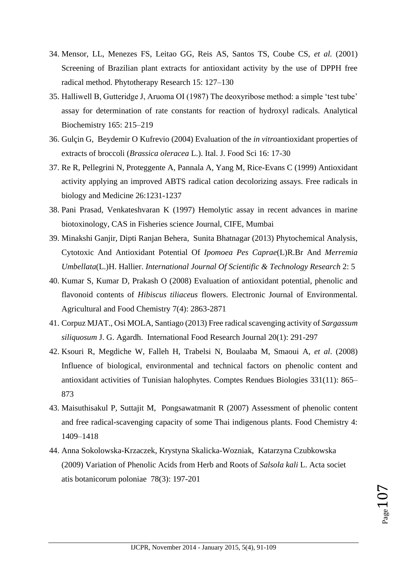- 34. Mensor, LL, Menezes FS, Leitao GG, Reis AS, Santos TS, Coube CS, *et al.* (2001) Screening of Brazilian plant extracts for antioxidant activity by the use of DPPH free radical method. Phytotherapy Research 15: 127–130
- 35. Halliwell B, Gutteridge J, Aruoma OI (1987) The deoxyribose method: a simple 'test tube' assay for determination of rate constants for reaction of hydroxyl radicals. Analytical Biochemistry 165: 215–219
- 36. Gulçin G, Beydemir O Kufrevio (2004) Evaluation of the *in vitro*antioxidant properties of extracts of broccoli (*Brassica oleracea* L.). Ital. J. Food Sci 16: 17-30
- 37. Re R, Pellegrini N, Proteggente A, Pannala A, Yang M, Rice-Evans C (1999) Antioxidant activity applying an improved ABTS radical cation decolorizing assays. Free radicals in biology and Medicine 26:1231-1237
- 38. Pani Prasad, Venkateshvaran K (1997) Hemolytic assay in recent advances in marine biotoxinology, CAS in Fisheries science Journal, CIFE, Mumbai
- 39. Minakshi Ganjir, Dipti Ranjan Behera, Sunita Bhatnagar (2013) Phytochemical Analysis, Cytotoxic And Antioxidant Potential Of *Ipomoea Pes Caprae*(L)R.Br And *Merremia Umbellata*(L.)H. Hallier. *International Journal Of Scientific & Technology Research* 2: 5
- 40. Kumar S, Kumar D, Prakash O (2008) Evaluation of antioxidant potential, phenolic and flavonoid contents of *Hibiscus tiliaceus* flowers. Electronic Journal of Environmental. Agricultural and Food Chemistry 7(4): 2863-2871
- 41. Corpuz MJAT., Osi MOLA, Santiago (2013) Free radical scavenging activity of *Sargassum siliquosum* J. G. Agardh. International Food Research Journal 20(1): 291-297
- 42. Ksouri R, Megdiche W, Falleh H, Trabelsi N, Boulaaba M, Smaoui A, *et al*. (2008) Influence of biological, environmental and technical factors on phenolic content and antioxidant activities of Tunisian halophytes. Comptes Rendues Biologies 331(11): 865– 873
- 43. Maisuthisakul P, Suttajit M, Pongsawatmanit R (2007) Assessment of phenolic content and free radical-scavenging capacity of some Thai indigenous plants. Food Chemistry 4: 1409–1418
- 44. Anna Sokolowska-Krzaczek, Krystyna Skalicka-Wozniak, Katarzyna Czubkowska (2009) Variation of Phenolic Acids from Herb and Roots of *Salsola kali* L. Acta societ atis botanicorum poloniae 78(3): 197-201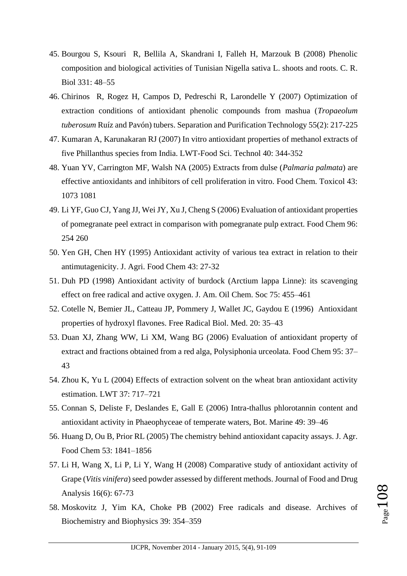- 45. Bourgou S, Ksouri R, Bellila A, Skandrani I, Falleh H, Marzouk B (2008) Phenolic composition and biological activities of Tunisian Nigella sativa L. shoots and roots. C. R. Biol 331: 48–55
- 46. Chirinos R, Rogez H, Campos D, Pedreschi R, Larondelle Y (2007) Optimization of extraction conditions of antioxidant phenolic compounds from mashua (*Tropaeolum tuberosum* Ruíz and Pavón) tubers. Separation and Purification Technology 55(2): 217-225
- 47. Kumaran A, Karunakaran RJ (2007) In vitro antioxidant properties of methanol extracts of five Phillanthus species from India. LWT-Food Sci. Technol 40: 344-352
- 48. Yuan YV, Carrington MF, Walsh NA (2005) Extracts from dulse (*Palmaria palmata*) are effective antioxidants and inhibitors of cell proliferation in vitro. Food Chem. Toxicol 43: 1073 1081
- 49. Li YF, Guo CJ, Yang JJ, Wei JY, Xu J, Cheng S (2006) Evaluation of antioxidant properties of pomegranate peel extract in comparison with pomegranate pulp extract. Food Chem 96: 254 260
- 50. Yen GH, Chen HY (1995) Antioxidant activity of various tea extract in relation to their antimutagenicity. J. Agri. Food Chem 43: 27-32
- 51. Duh PD (1998) Antioxidant activity of burdock (Arctium lappa Linne): its scavenging effect on free radical and active oxygen. J. Am. Oil Chem. Soc 75: 455–461
- 52. Cotelle N, Bemier JL, Catteau JP, Pommery J, Wallet JC, Gaydou E (1996) Antioxidant properties of hydroxyl flavones. Free Radical Biol. Med. 20: 35–43
- 53. Duan XJ, Zhang WW, Li XM, Wang BG (2006) Evaluation of antioxidant property of extract and fractions obtained from a red alga, Polysiphonia urceolata. Food Chem 95: 37– 43
- 54. Zhou K, Yu L (2004) Effects of extraction solvent on the wheat bran antioxidant activity estimation. LWT 37: 717–721
- 55. Connan S, Deliste F, Deslandes E, Gall E (2006) Intra-thallus phlorotannin content and antioxidant activity in Phaeophyceae of temperate waters, Bot. Marine 49: 39–46
- 56. Huang D, Ou B, Prior RL (2005) The chemistry behind antioxidant capacity assays. J. Agr. Food Chem 53: 1841–1856
- 57. Li H, Wang X, Li P, Li Y, Wang H (2008) Comparative study of antioxidant activity of Grape (*Vitis vinifera*) seed powder assessed by different methods. Journal of Food and Drug Analysis 16(6): 67-73
- 58. Moskovitz J, Yim KA, Choke PB (2002) Free radicals and disease. Archives of Biochemistry and Biophysics 39: 354–359